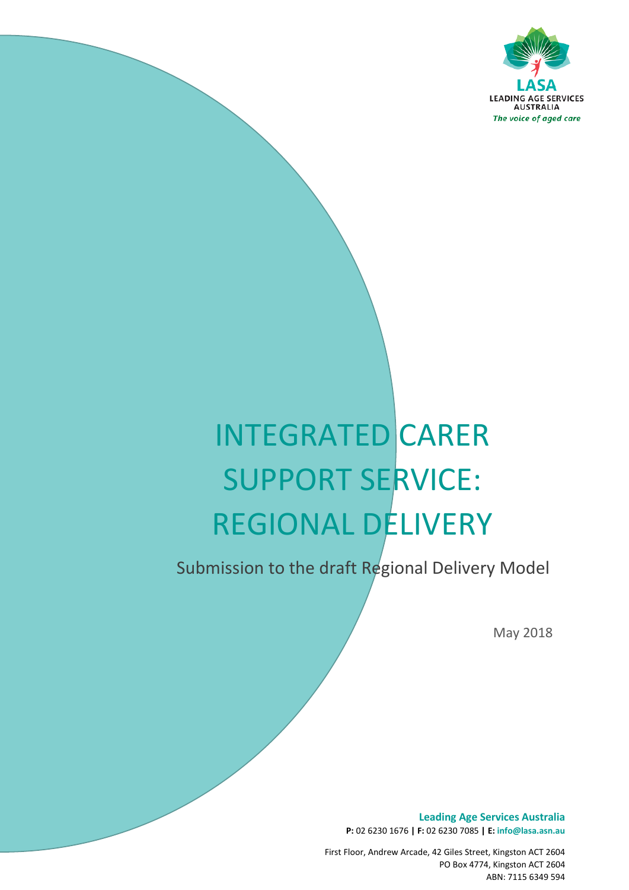

# INTEGRATED CARER SUPPORT SERVICE: REGIONAL DELIVERY

Submission to the draft Regional Delivery Model

*The voice of aged care*

May 2018

**Leading Age Services Australia P:** 02 6230 1676 **| F:** 02 6230 7085 **| E: info@lasa.asn.au**

First Floor, Andrew Arcade, 42 Giles Street, Kingston ACT 2604 PO Box 4774, Kingston ACT 2604 ABN: 7115 6349 594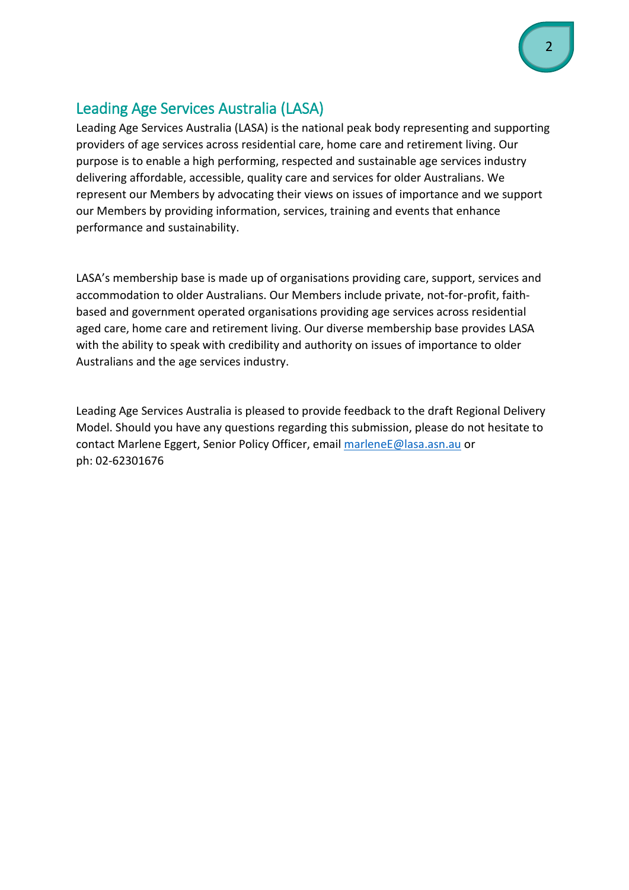# Leading Age Services Australia (LASA)

Leading Age Services Australia (LASA) is the national peak body representing and supporting providers of age services across residential care, home care and retirement living. Our purpose is to enable a high performing, respected and sustainable age services industry delivering affordable, accessible, quality care and services for older Australians. We represent our Members by advocating their views on issues of importance and we support our Members by providing information, services, training and events that enhance performance and sustainability.

LASA's membership base is made up of organisations providing care, support, services and accommodation to older Australians. Our Members include private, not-for-profit, faithbased and government operated organisations providing age services across residential aged care, home care and retirement living. Our diverse membership base provides LASA with the ability to speak with credibility and authority on issues of importance to older Australians and the age services industry.

Leading Age Services Australia is pleased to provide feedback to the draft Regional Delivery Model. Should you have any questions regarding this submission, please do not hesitate to contact Marlene Eggert, Senior Policy Officer, emai[l marleneE@lasa.asn.au](mailto:marleneE@lasa.asn.au) or ph: 02-62301676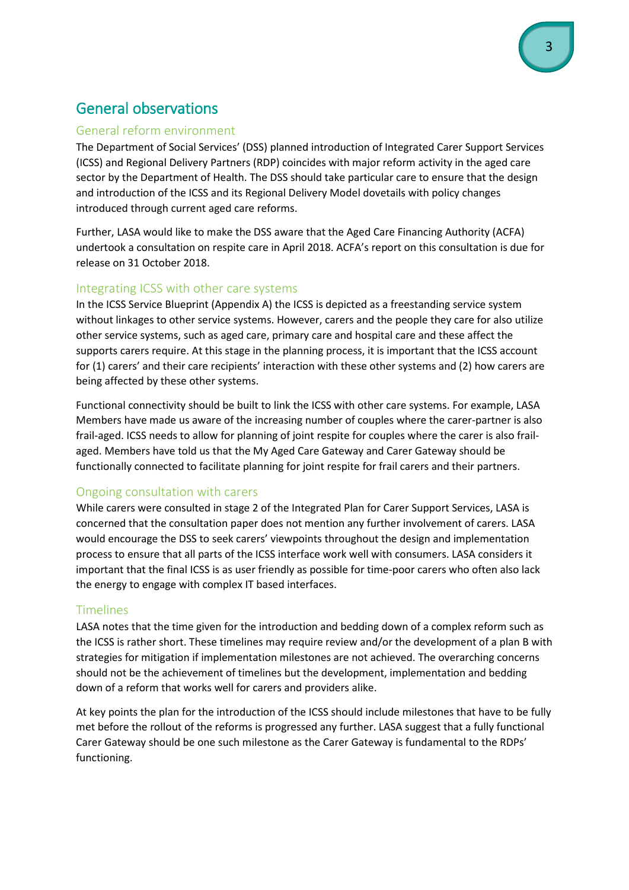# General observations

#### General reform environment

The Department of Social Services' (DSS) planned introduction of Integrated Carer Support Services (ICSS) and Regional Delivery Partners (RDP) coincides with major reform activity in the aged care sector by the Department of Health. The DSS should take particular care to ensure that the design and introduction of the ICSS and its Regional Delivery Model dovetails with policy changes introduced through current aged care reforms.

Further, LASA would like to make the DSS aware that the Aged Care Financing Authority (ACFA) undertook a consultation on respite care in April 2018. ACFA's report on this consultation is due for release on 31 October 2018.

### Integrating ICSS with other care systems

In the ICSS Service Blueprint (Appendix A) the ICSS is depicted as a freestanding service system without linkages to other service systems. However, carers and the people they care for also utilize other service systems, such as aged care, primary care and hospital care and these affect the supports carers require. At this stage in the planning process, it is important that the ICSS account for (1) carers' and their care recipients' interaction with these other systems and (2) how carers are being affected by these other systems.

Functional connectivity should be built to link the ICSS with other care systems. For example, LASA Members have made us aware of the increasing number of couples where the carer-partner is also frail-aged. ICSS needs to allow for planning of joint respite for couples where the carer is also frailaged. Members have told us that the My Aged Care Gateway and Carer Gateway should be functionally connected to facilitate planning for joint respite for frail carers and their partners.

### Ongoing consultation with carers

While carers were consulted in stage 2 of the Integrated Plan for Carer Support Services, LASA is concerned that the consultation paper does not mention any further involvement of carers. LASA would encourage the DSS to seek carers' viewpoints throughout the design and implementation process to ensure that all parts of the ICSS interface work well with consumers. LASA considers it important that the final ICSS is as user friendly as possible for time-poor carers who often also lack the energy to engage with complex IT based interfaces.

#### Timelines

LASA notes that the time given for the introduction and bedding down of a complex reform such as the ICSS is rather short. These timelines may require review and/or the development of a plan B with strategies for mitigation if implementation milestones are not achieved. The overarching concerns should not be the achievement of timelines but the development, implementation and bedding down of a reform that works well for carers and providers alike.

At key points the plan for the introduction of the ICSS should include milestones that have to be fully met before the rollout of the reforms is progressed any further. LASA suggest that a fully functional Carer Gateway should be one such milestone as the Carer Gateway is fundamental to the RDPs' functioning.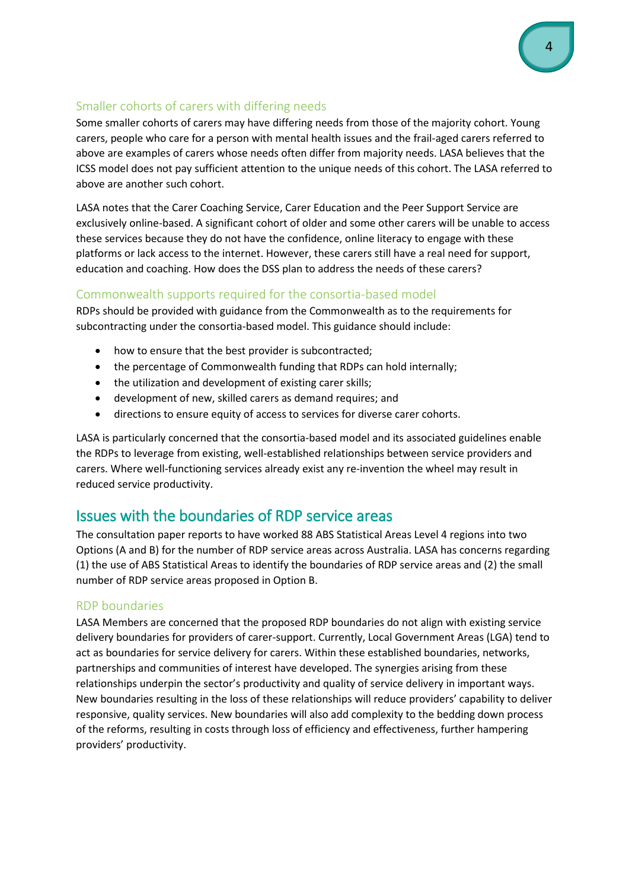## Smaller cohorts of carers with differing needs

Some smaller cohorts of carers may have differing needs from those of the majority cohort. Young carers, people who care for a person with mental health issues and the frail-aged carers referred to above are examples of carers whose needs often differ from majority needs. LASA believes that the ICSS model does not pay sufficient attention to the unique needs of this cohort. The LASA referred to above are another such cohort.

LASA notes that the Carer Coaching Service, Carer Education and the Peer Support Service are exclusively online-based. A significant cohort of older and some other carers will be unable to access these services because they do not have the confidence, online literacy to engage with these platforms or lack access to the internet. However, these carers still have a real need for support, education and coaching. How does the DSS plan to address the needs of these carers?

## Commonwealth supports required for the consortia-based model

RDPs should be provided with guidance from the Commonwealth as to the requirements for subcontracting under the consortia-based model. This guidance should include:

- how to ensure that the best provider is subcontracted;
- the percentage of Commonwealth funding that RDPs can hold internally;
- the utilization and development of existing carer skills;
- development of new, skilled carers as demand requires; and
- directions to ensure equity of access to services for diverse carer cohorts.

LASA is particularly concerned that the consortia-based model and its associated guidelines enable the RDPs to leverage from existing, well-established relationships between service providers and carers. Where well-functioning services already exist any re-invention the wheel may result in reduced service productivity.

## Issues with the boundaries of RDP service areas

The consultation paper reports to have worked 88 ABS Statistical Areas Level 4 regions into two Options (A and B) for the number of RDP service areas across Australia. LASA has concerns regarding (1) the use of ABS Statistical Areas to identify the boundaries of RDP service areas and (2) the small number of RDP service areas proposed in Option B.

## RDP boundaries

LASA Members are concerned that the proposed RDP boundaries do not align with existing service delivery boundaries for providers of carer-support. Currently, Local Government Areas (LGA) tend to act as boundaries for service delivery for carers. Within these established boundaries, networks, partnerships and communities of interest have developed. The synergies arising from these relationships underpin the sector's productivity and quality of service delivery in important ways. New boundaries resulting in the loss of these relationships will reduce providers' capability to deliver responsive, quality services. New boundaries will also add complexity to the bedding down process of the reforms, resulting in costs through loss of efficiency and effectiveness, further hampering providers' productivity.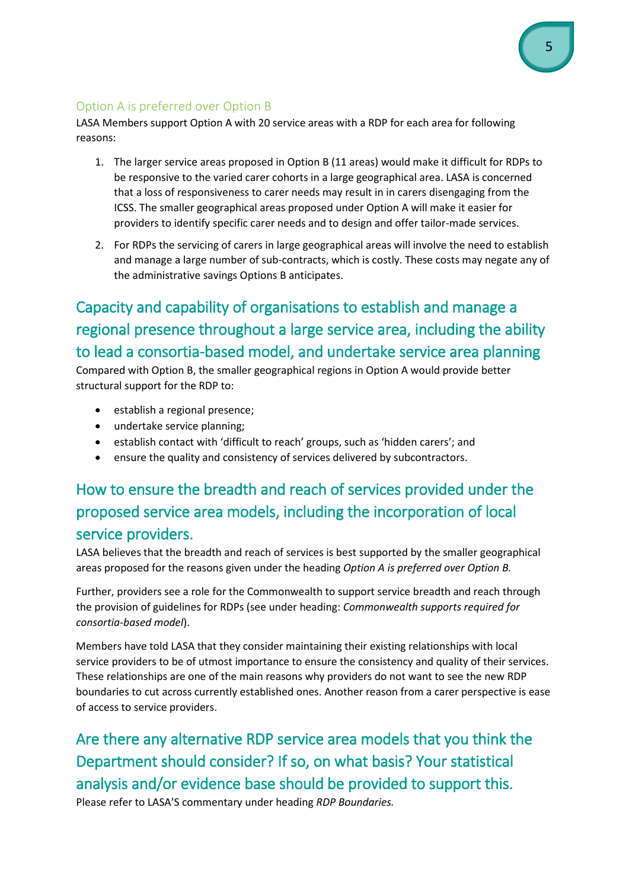## Option A is preferred over Option B

LASA Members support Option A with 20 service areas with a RDP for each area for following reasons:

- 1. The larger service areas proposed in Option B (11 areas) would make it difficult for RDPs to be responsive to the varied carer cohorts in a large geographical area. LASA is concerned that a loss of responsiveness to carer needs may result in in carers disengaging from the ICSS. The smaller geographical areas proposed under Option A will make it easier for providers to identify specific carer needs and to design and offer tailor-made services.
- 2. For RDPs the servicing of carers in large geographical areas will involve the need to establish and manage a large number of sub-contracts, which is costly. These costs may negate any of the administrative savings Options B anticipates.

# Capacity and capability of organisations to establish and manage a regional presence throughout a large service area, including the ability to lead a consortia-based model, and undertake service area planning

Compared with Option B, the smaller geographical regions in Option A would provide better structural support for the RDP to:

- establish a regional presence;
- undertake service planning;
- establish contact with 'difficult to reach' groups, such as 'hidden carers'; and
- ensure the quality and consistency of services delivered by subcontractors.

# How to ensure the breadth and reach of services provided under the proposed service area models, including the incorporation of local service providers.

LASA believes that the breadth and reach of services is best supported by the smaller geographical areas proposed for the reasons given under the heading *Option A is preferred over Option B.* 

Further, providers see a role for the Commonwealth to support service breadth and reach through the provision of guidelines for RDPs (see under heading: *Commonwealth supports required for consortia-based model*).

Members have told LASA that they consider maintaining their existing relationships with local service providers to be of utmost importance to ensure the consistency and quality of their services. These relationships are one of the main reasons why providers do not want to see the new RDP boundaries to cut across currently established ones. Another reason from a carer perspective is ease of access to service providers.

Are there any alternative RDP service area models that you think the Department should consider? If so, on what basis? Your statistical analysis and/or evidence base should be provided to support this. Please refer to LASA'S commentary under heading *RDP Boundaries.*